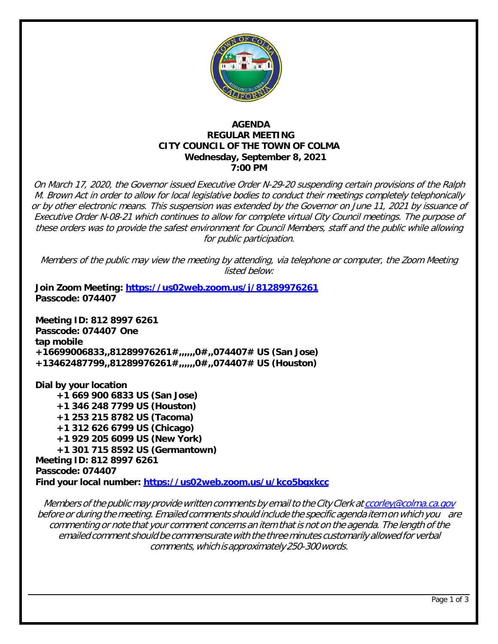

# **AGENDA REGULAR MEETING CITY COUNCIL OF THE TOWN OF COLMA Wednesday, September 8, 2021 7:00 PM**

On March 17, 2020, the Governor issued Executive Order N-29-20 suspending certain provisions of the Ralph M. Brown Act in order to allow for local legislative bodies to conduct their meetings completely telephonically or by other electronic means. This suspension was extended by the Governor on June 11, 2021 by issuance of Executive Order N-08-21 which continues to allow for complete virtual City Council meetings. The purpose of these orders was to provide the safest environment for Council Members, staff and the public while allowing for public participation.

Members of the public may view the meeting by attending, via telephone or computer, the Zoom Meeting listed below:

**Join Zoom Meeting:<https://us02web.zoom.us/j/81289976261> Passcode: 074407**

**Meeting ID: 812 8997 6261 Passcode: 074407 One tap mobile +16699006833,,81289976261#,,,,,,0#,,074407# US (San Jose) +13462487799,,81289976261#,,,,,,0#,,074407# US (Houston)**

**Dial by your location +1 669 900 6833 US (San Jose) +1 346 248 7799 US (Houston) +1 253 215 8782 US (Tacoma) +1 312 626 6799 US (Chicago) +1 929 205 6099 US (New York) +1 301 715 8592 US (Germantown) Meeting ID: 812 8997 6261 Passcode: 074407 Find your local number:<https://us02web.zoom.us/u/kco5bgxkcc>**

Members of the public may provide written comments by email to the City Clerk at [ccorley@colma.ca.gov](mailto:ccorley@colma.ca.gov) before or during the meeting. Emailed comments should include the specific agenda item on which you are commenting or note that your comment concerns an item that is not on the agenda. The length of the emailed comment should be commensurate with the three minutes customarily allowed for verbal comments,which isapproximately250-300words.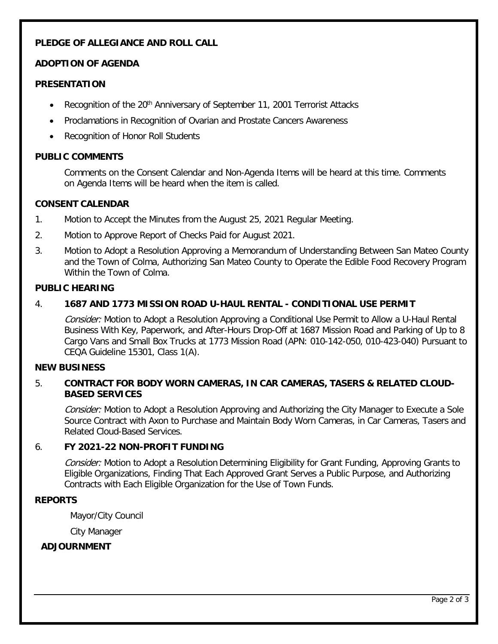# **PLEDGE OF ALLEGIANCE AND ROLL CALL**

# **ADOPTION OF AGENDA**

# **PRESENTATION**

- Recognition of the 20<sup>th</sup> Anniversary of September 11, 2001 Terrorist Attacks
- Proclamations in Recognition of Ovarian and Prostate Cancers Awareness
- Recognition of Honor Roll Students

## **PUBLIC COMMENTS**

Comments on the Consent Calendar and Non-Agenda Items will be heard at this time. Comments on Agenda Items will be heard when the item is called.

#### **CONSENT CALENDAR**

- 1. Motion to Accept the Minutes from the August 25, 2021 Regular Meeting.
- 2. Motion to Approve Report of Checks Paid for August 2021.
- 3. Motion to Adopt a Resolution Approving a Memorandum of Understanding Between San Mateo County and the Town of Colma, Authorizing San Mateo County to Operate the Edible Food Recovery Program Within the Town of Colma.

#### **PUBLIC HEARING**

## 4. **1687 AND 1773 MISSION ROAD U-HAUL RENTAL - CONDITIONAL USE PERMIT**

Consider: Motion to Adopt a Resolution Approving a Conditional Use Permit to Allow a U-Haul Rental Business With Key, Paperwork, and After-Hours Drop-Off at 1687 Mission Road and Parking of Up to 8 Cargo Vans and Small Box Trucks at 1773 Mission Road (APN: 010-142-050, 010-423-040) Pursuant to CEQA Guideline 15301, Class 1(A).

#### **NEW BUSINESS**

## 5. **CONTRACT FOR BODY WORN CAMERAS, IN CAR CAMERAS, TASERS & RELATED CLOUD-BASED SERVICES**

Consider: Motion to Adopt a Resolution Approving and Authorizing the City Manager to Execute a Sole Source Contract with Axon to Purchase and Maintain Body Worn Cameras, in Car Cameras, Tasers and Related Cloud-Based Services.

## 6. **FY 2021-22 NON-PROFIT FUNDING**

Consider: Motion to Adopt a Resolution Determining Eligibility for Grant Funding, Approving Grants to Eligible Organizations, Finding That Each Approved Grant Serves a Public Purpose, and Authorizing Contracts with Each Eligible Organization for the Use of Town Funds.

## **REPORTS**

Mayor/City Council

City Manager

# **ADJOURNMENT**